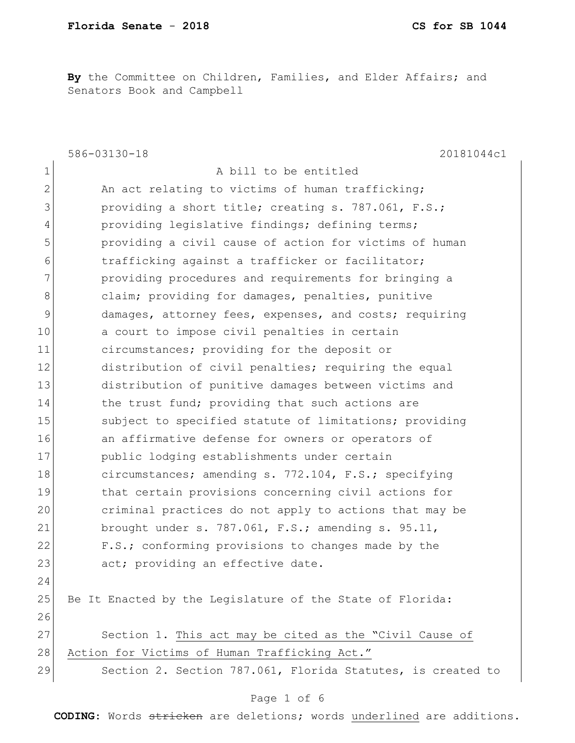**By** the Committee on Children, Families, and Elder Affairs; and Senators Book and Campbell

|              | 586-03130-18<br>20181044c1                                  |
|--------------|-------------------------------------------------------------|
| 1            | A bill to be entitled                                       |
| $\mathbf{2}$ | An act relating to victims of human trafficking;            |
| 3            | providing a short title; creating s. 787.061, F.S.;         |
| 4            | providing legislative findings; defining terms;             |
| 5            | providing a civil cause of action for victims of human      |
| 6            | trafficking against a trafficker or facilitator;            |
| 7            | providing procedures and requirements for bringing a        |
| $\,8\,$      | claim; providing for damages, penalties, punitive           |
| $\mathsf 9$  | damages, attorney fees, expenses, and costs; requiring      |
| 10           | a court to impose civil penalties in certain                |
| 11           | circumstances; providing for the deposit or                 |
| 12           | distribution of civil penalties; requiring the equal        |
| 13           | distribution of punitive damages between victims and        |
| 14           | the trust fund; providing that such actions are             |
| 15           | subject to specified statute of limitations; providing      |
| 16           | an affirmative defense for owners or operators of           |
| 17           | public lodging establishments under certain                 |
| 18           | circumstances; amending s. 772.104, F.S.; specifying        |
| 19           | that certain provisions concerning civil actions for        |
| 20           | criminal practices do not apply to actions that may be      |
| 21           | brought under s. 787.061, $F.S.;$ amending s. 95.11,        |
| 22           | F.S.; conforming provisions to changes made by the          |
| 23           | act; providing an effective date.                           |
| 24           |                                                             |
| 25           | Be It Enacted by the Legislature of the State of Florida:   |
| 26           |                                                             |
| 27           | Section 1. This act may be cited as the "Civil Cause of     |
| 28           | Action for Victims of Human Trafficking Act."               |
| 29           | Section 2. Section 787.061, Florida Statutes, is created to |
|              |                                                             |

## Page 1 of 6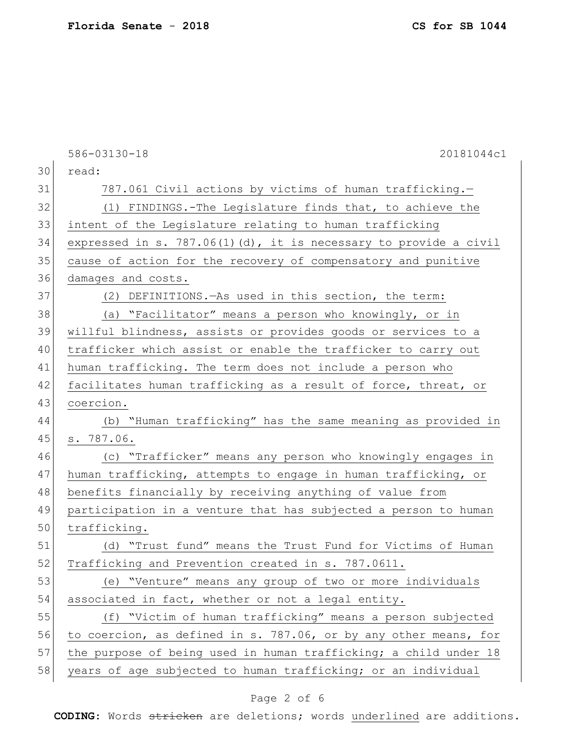586-03130-18 20181044c1 30 read: 31 787.061 Civil actions by victims of human trafficking. 32 (1) FINDINGS.-The Legislature finds that, to achieve the 33 intent of the Legislature relating to human trafficking 34 expressed in s. 787.06(1)(d), it is necessary to provide a civil 35 cause of action for the recovery of compensatory and punitive 36 damages and costs. 37 (2) DEFINITIONS.—As used in this section, the term: 38 (a) "Facilitator" means a person who knowingly, or in 39 willful blindness, assists or provides goods or services to a 40 trafficker which assist or enable the trafficker to carry out 41 human trafficking. The term does not include a person who 42 facilitates human trafficking as a result of force, threat, or 43 coercion. 44 (b) "Human trafficking" has the same meaning as provided in 45 s. 787.06. 46 (c) "Trafficker" means any person who knowingly engages in 47 human trafficking, attempts to engage in human trafficking, or 48 benefits financially by receiving anything of value from 49 participation in a venture that has subjected a person to human 50 trafficking. 51 (d) "Trust fund" means the Trust Fund for Victims of Human 52 Trafficking and Prevention created in s. 787.0611. 53 (e) "Venture" means any group of two or more individuals 54 associated in fact, whether or not a legal entity. 55 (f) "Victim of human trafficking" means a person subjected 56 to coercion, as defined in s. 787.06, or by any other means, for 57 the purpose of being used in human trafficking; a child under 18 58 years of age subjected to human trafficking; or an individual

### Page 2 of 6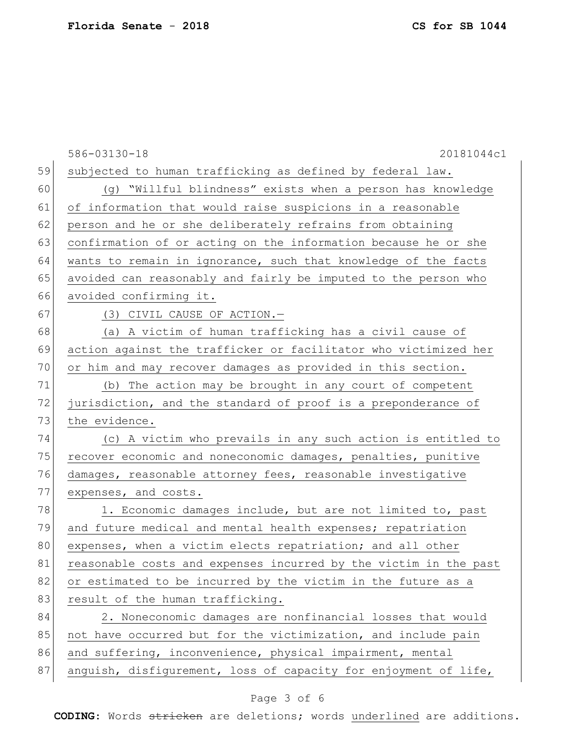|    | 586-03130-18<br>20181044c1                                       |
|----|------------------------------------------------------------------|
| 59 | subjected to human trafficking as defined by federal law.        |
| 60 | (g) "Willful blindness" exists when a person has knowledge       |
| 61 | of information that would raise suspicions in a reasonable       |
| 62 | person and he or she deliberately refrains from obtaining        |
| 63 | confirmation of or acting on the information because he or she   |
| 64 | wants to remain in ignorance, such that knowledge of the facts   |
| 65 | avoided can reasonably and fairly be imputed to the person who   |
| 66 | avoided confirming it.                                           |
| 67 | (3) CIVIL CAUSE OF ACTION.-                                      |
| 68 | (a) A victim of human trafficking has a civil cause of           |
| 69 | action against the trafficker or facilitator who victimized her  |
| 70 | or him and may recover damages as provided in this section.      |
| 71 | (b) The action may be brought in any court of competent          |
| 72 | jurisdiction, and the standard of proof is a preponderance of    |
| 73 | the evidence.                                                    |
| 74 | (c) A victim who prevails in any such action is entitled to      |
| 75 | recover economic and noneconomic damages, penalties, punitive    |
| 76 | damages, reasonable attorney fees, reasonable investigative      |
| 77 | expenses, and costs.                                             |
| 78 | 1. Economic damages include, but are not limited to, past        |
| 79 | and future medical and mental health expenses; repatriation      |
| 80 | expenses, when a victim elects repatriation; and all other       |
| 81 | reasonable costs and expenses incurred by the victim in the past |
| 82 | or estimated to be incurred by the victim in the future as a     |
| 83 | result of the human trafficking.                                 |
| 84 | 2. Noneconomic damages are nonfinancial losses that would        |
| 85 | not have occurred but for the victimization, and include pain    |
| 86 | and suffering, inconvenience, physical impairment, mental        |
| 87 | anguish, disfigurement, loss of capacity for enjoyment of life,  |

## Page 3 of 6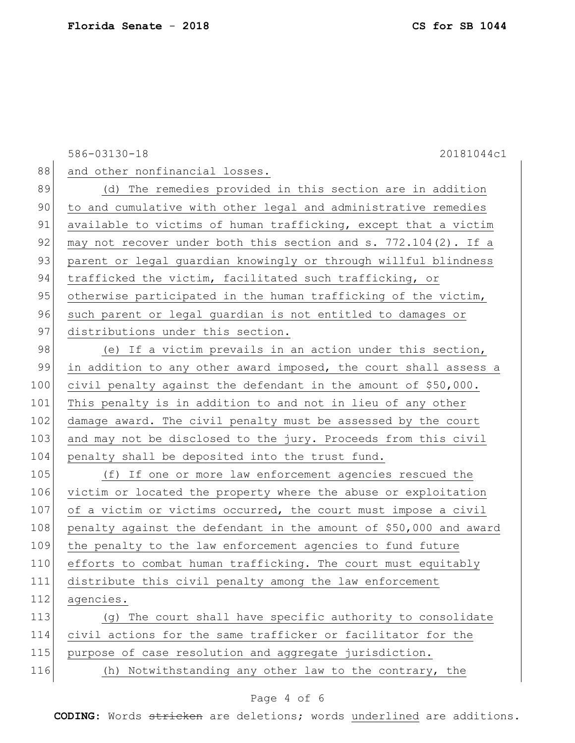586-03130-18 20181044c1 88 and other nonfinancial losses. 89 (d) The remedies provided in this section are in addition 90 to and cumulative with other legal and administrative remedies 91 available to victims of human trafficking, except that a victim 92 may not recover under both this section and  $s. 772.104(2)$ . If a 93 parent or legal guardian knowingly or through willful blindness 94 trafficked the victim, facilitated such trafficking, or 95 otherwise participated in the human trafficking of the victim, 96 such parent or legal guardian is not entitled to damages or 97 distributions under this section. 98 (e) If a victim prevails in an action under this section, 99 in addition to any other award imposed, the court shall assess a 100 civil penalty against the defendant in the amount of \$50,000. 101 This penalty is in addition to and not in lieu of any other 102 damage award. The civil penalty must be assessed by the court 103 and may not be disclosed to the jury. Proceeds from this civil 104 penalty shall be deposited into the trust fund. 105 (f) If one or more law enforcement agencies rescued the 106 victim or located the property where the abuse or exploitation 107 of a victim or victims occurred, the court must impose a civil 108 penalty against the defendant in the amount of \$50,000 and award 109 the penalty to the law enforcement agencies to fund future 110 efforts to combat human trafficking. The court must equitably 111 distribute this civil penalty among the law enforcement 112 agencies. 113 (g) The court shall have specific authority to consolidate 114 civil actions for the same trafficker or facilitator for the 115 purpose of case resolution and aggregate jurisdiction. 116 (h) Notwithstanding any other law to the contrary, the

#### Page 4 of 6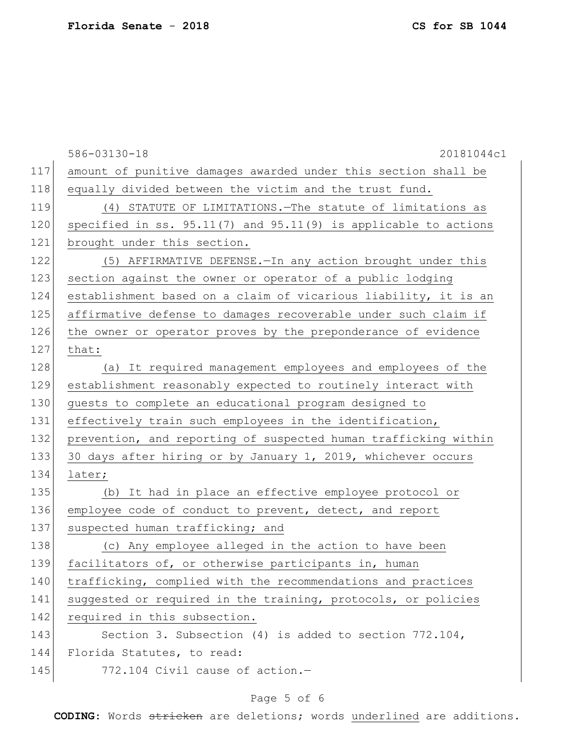|     | 586-03130-18<br>20181044c1                                      |
|-----|-----------------------------------------------------------------|
| 117 | amount of punitive damages awarded under this section shall be  |
| 118 | equally divided between the victim and the trust fund.          |
| 119 | (4) STATUTE OF LIMITATIONS. The statute of limitations as       |
| 120 | specified in ss. 95.11(7) and 95.11(9) is applicable to actions |
| 121 | brought under this section.                                     |
| 122 | (5) AFFIRMATIVE DEFENSE. - In any action brought under this     |
| 123 | section against the owner or operator of a public lodging       |
| 124 | establishment based on a claim of vicarious liability, it is an |
| 125 | affirmative defense to damages recoverable under such claim if  |
| 126 | the owner or operator proves by the preponderance of evidence   |
| 127 | that:                                                           |
| 128 | (a) It required management employees and employees of the       |
| 129 | establishment reasonably expected to routinely interact with    |
| 130 | guests to complete an educational program designed to           |
| 131 | effectively train such employees in the identification,         |
| 132 | prevention, and reporting of suspected human trafficking within |
| 133 | 30 days after hiring or by January 1, 2019, whichever occurs    |
| 134 | later;                                                          |
| 135 | (b) It had in place an effective employee protocol or           |
| 136 | employee code of conduct to prevent, detect, and report         |
| 137 | suspected human trafficking; and                                |
| 138 | (c) Any employee alleged in the action to have been             |
| 139 | facilitators of, or otherwise participants in, human            |
| 140 | trafficking, complied with the recommendations and practices    |
| 141 | suggested or required in the training, protocols, or policies   |
| 142 | required in this subsection.                                    |
| 143 | Section 3. Subsection (4) is added to section $772.104$ ,       |
| 144 | Florida Statutes, to read:                                      |
| 145 | 772.104 Civil cause of action.-                                 |
|     |                                                                 |

## Page 5 of 6